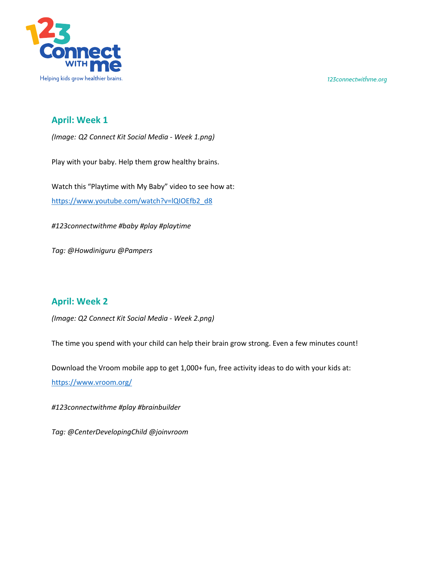



## **April: Week 1**

*(Image: Q2 Connect Kit Social Media - Week 1.png)*

Play with your baby. Help them grow healthy brains.

Watch this "Playtime with My Baby" video to see how at: https://www.youtube.com/watch?v=lQIOEfb2\_d8

*#123connectwithme #baby #play #playtime*

*Tag: @Howdiniguru @Pampers*

## **April: Week 2**

*(Image: Q2 Connect Kit Social Media - Week 2.png)*

The time you spend with your child can help their brain grow strong. Even a few minutes count!

Download the Vroom mobile app to get 1,000+ fun, free activity ideas to do with your kids at:

https://www.vroom.org/

*#123connectwithme #play #brainbuilder* 

*Tag: @CenterDevelopingChild @joinvroom*